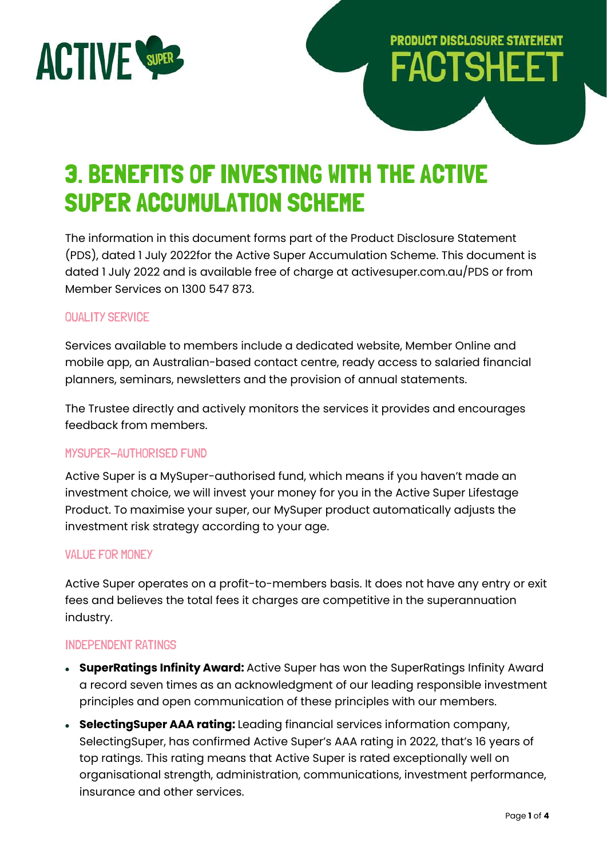

# **PRODUCT DISCLOSURE STATEMENT FACTSHEET**

## 3. BENEFITS OF INVESTING WITH THE ACTIVE SUPER ACCUMULATION SCHEME

The information in this document forms part of the Product Disclosure Statement (PDS), dated 1 July 2022for the Active Super Accumulation Scheme. This document is dated 1 July 2022 and is available free of charge at activesuper.com.au/PDS or from Member Services on 1300 547 873.

## QUALITY SERVICE

Services available to members include a dedicated website, Member Online and mobile app, an Australian-based contact centre, ready access to salaried financial planners, seminars, newsletters and the provision of annual statements.

The Trustee directly and actively monitors the services it provides and encourages feedback from members.

### MYSUPER-AUTHORISED FUND

Active Super is a MySuper-authorised fund, which means if you haven't made an investment choice, we will invest your money for you in the Active Super Lifestage Product. To maximise your super, our MySuper product automatically adjusts the investment risk strategy according to your age.

#### VALUE FOR MONEY

Active Super operates on a profit-to-members basis. It does not have any entry or exit fees and believes the total fees it charges are competitive in the superannuation industry.

### INDEPENDENT RATINGS

- **SuperRatings Infinity Award:** Active Super has won the SuperRatings Infinity Award a record seven times as an acknowledgment of our leading responsible investment principles and open communication of these principles with our members.
- **SelectingSuper AAA rating:** Leading financial services information company, SelectingSuper, has confirmed Active Super's AAA rating in 2022, that's 16 years of top ratings. This rating means that Active Super is rated exceptionally well on organisational strength, administration, communications, investment performance, insurance and other services.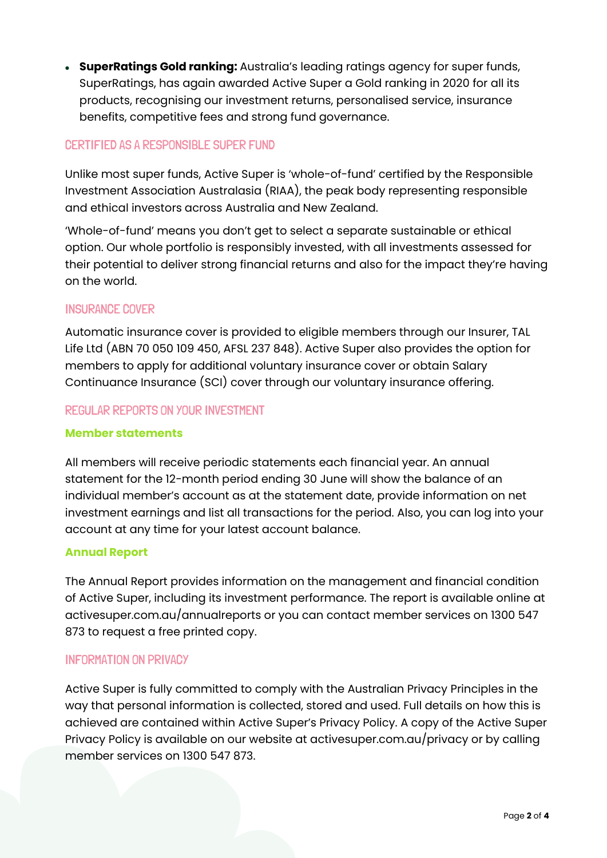• **SuperRatings Gold ranking:** Australia's leading ratings agency for super funds, SuperRatings, has again awarded Active Super a Gold ranking in 2020 for all its products, recognising our investment returns, personalised service, insurance benefits, competitive fees and strong fund governance.

## CERTIFIED AS A RESPONSIBLE SUPER FUND

Unlike most super funds, Active Super is 'whole-of-fund' certified by the Responsible Investment Association Australasia (RIAA), the peak body representing responsible and ethical investors across Australia and New Zealand.

'Whole-of-fund' means you don't get to select a separate sustainable or ethical option. Our whole portfolio is responsibly invested, with all investments assessed for their potential to deliver strong financial returns and also for the impact they're having on the world.

## INSURANCE COVER

Automatic insurance cover is provided to eligible members through our Insurer, TAL Life Ltd (ABN 70 050 109 450, AFSL 237 848). Active Super also provides the option for members to apply for additional voluntary insurance cover or obtain Salary Continuance Insurance (SCI) cover through our voluntary insurance offering.

## REGULAR REPORTS ON YOUR INVESTMENT

### **Member statements**

All members will receive periodic statements each financial year. An annual statement for the 12-month period ending 30 June will show the balance of an individual member's account as at the statement date, provide information on net investment earnings and list all transactions for the period. Also, you can log into your account at any time for your latest account balance.

### **Annual Report**

The Annual Report provides information on the management and financial condition of Active Super, including its investment performance. The report is available online at activesuper.com.au/annualreports or you can contact member services on 1300 547 873 to request a free printed copy.

### INFORMATION ON PRIVACY

Active Super is fully committed to comply with the Australian Privacy Principles in the way that personal information is collected, stored and used. Full details on how this is achieved are contained within Active Super's Privacy Policy. A copy of the Active Super Privacy Policy is available on our website at activesuper.com.au/privacy or by calling member services on 1300 547 873.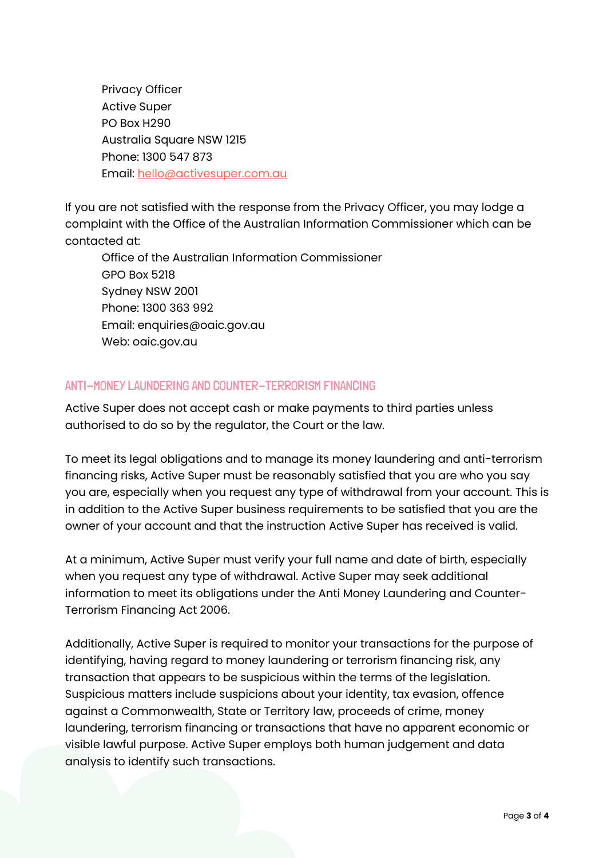Privacy Officer Active Super PO Box H290 Australia Square NSW 1215 Phone: 1300 547 873 Email: [hello@activesuper.com.au](mailto:hello@activesuper.com.au)

If you are not satisfied with the response from the Privacy Officer, you may lodge a complaint with the Office of the Australian Information Commissioner which can be contacted at:

Office of the Australian Information Commissioner GPO Box 5218 Sydney NSW 2001 Phone: 1300 363 992 Email: enquiries@oaic.gov.au Web: oaic.gov.au

## ANTI-MONEY LAUNDERING AND COUNTER-TERRORISM FINANCING

Active Super does not accept cash or make payments to third parties unless authorised to do so by the regulator, the Court or the law.

To meet its legal obligations and to manage its money laundering and anti-terrorism financing risks, Active Super must be reasonably satisfied that you are who you say you are, especially when you request any type of withdrawal from your account. This is in addition to the Active Super business requirements to be satisfied that you are the owner of your account and that the instruction Active Super has received is valid.

At a minimum, Active Super must verify your full name and date of birth, especially when you request any type of withdrawal. Active Super may seek additional information to meet its obligations under the Anti Money Laundering and Counter-Terrorism Financing Act 2006.

Additionally, Active Super is required to monitor your transactions for the purpose of identifying, having regard to money laundering or terrorism financing risk, any transaction that appears to be suspicious within the terms of the legislation. Suspicious matters include suspicions about your identity, tax evasion, offence against a Commonwealth, State or Territory law, proceeds of crime, money laundering, terrorism financing or transactions that have no apparent economic or visible lawful purpose. Active Super employs both human judgement and data analysis to identify such transactions.